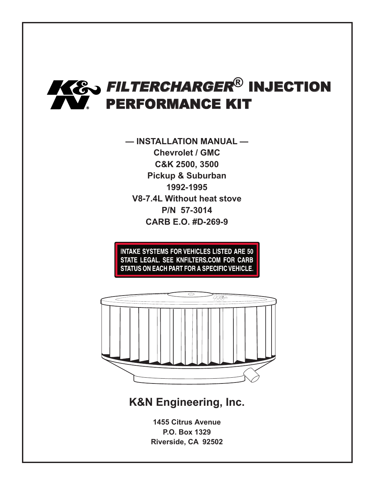

**— INSTALLATION MANUAL — Chevrolet / GMC C&K 2500, 3500 Pickup & Suburban 1992-1995 V8-7.4L Without heat stove P/N 57-3014 CARB E.O. #D-269-9**

**INTAKE SYSTEMS FOR VEHICLES LISTED ARE 50** STATE LEGAL. SEE KNFILTERS.COM FOR CARB STATUS ON EACH PART FOR A SPECIFIC VEHICLE.



# **K&N Engineering, Inc.**

**1455 Citrus Avenue P.O. Box 1329 Riverside, CA 92502**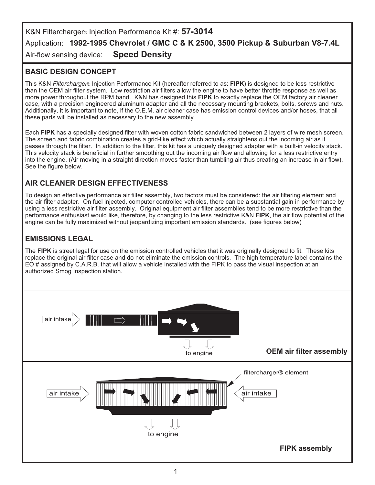K&N Filtercharger® Injection Performance Kit #: **57-3014** Application: **1992-1995 Chevrolet / GMC C & K 2500, 3500 Pickup & Suburban V8-7.4L** Air-flow sensing device: **Speed Density**

## **BASIC DESIGN CONCEPT**

This K&N *Filtercharger*® Injection Performance Kit (hereafter referred to as: **FIPK**) is designed to be less restrictive than the OEM air filter system. Low restriction air filters allow the engine to have better throttle response as well as more power throughout the RPM band. K&N has designed this **FIPK** to exactly replace the OEM factory air cleaner case, with a precision engineered aluminum adapter and all the necessary mounting brackets, bolts, screws and nuts. Additionally, it is important to note, if the O.E.M. air cleaner case has emission control devices and/or hoses, that all these parts will be installed as necessary to the new assembly.

Each **FIPK** has a specially designed filter with woven cotton fabric sandwiched between 2 layers of wire mesh screen. The screen and fabric combination creates a grid-like effect which actually straightens out the incoming air as it passes through the filter. In addition to the filter, this kit has a uniquely designed adapter with a built-in velocity stack. This velocity stack is beneficial in further smoothing out the incoming air flow and allowing for a less restrictive entry into the engine. (Air moving in a straight direction moves faster than tumbling air thus creating an increase in air flow). See the figure below.

### **AIR CLEANER DESIGN EFFECTIVENESS**

To design an effective performance air filter assembly, two factors must be considered: the air filtering element and the air filter adapter. On fuel injected, computer controlled vehicles, there can be a substantial gain in performance by using a less restrictive air filter assembly. Original equipment air filter assemblies tend to be more restrictive than the performance enthusiast would like, therefore, by changing to the less restrictive K&N **FIPK**, the air flow potential of the engine can be fully maximized without jeopardizing important emission standards. (see figures below)

### **EMISSIONS LEGAL**

The **FIPK** is street legal for use on the emission controlled vehicles that it was originally designed to fit. These kits replace the original air filter case and do not eliminate the emission controls. The high temperature label contains the EO # assigned by C.A.R.B. that will allow a vehicle installed with the FIPK to pass the visual inspection at an authorized Smog Inspection station.

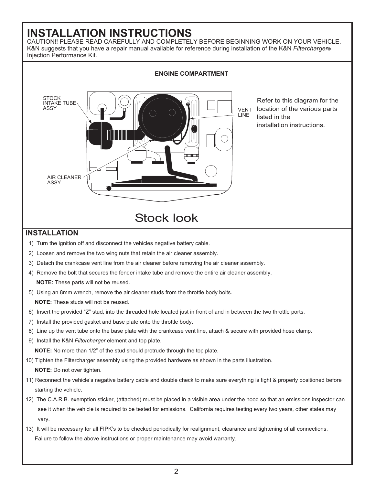# **INSTALLATION INSTRUCTIONS**

CAUTION!! PLEASE READ CAREFULLY AND COMPLETELY BEFORE BEGINNING WORK ON YOUR VEHICLE. K&N suggests that you have a repair manual available for reference during installation of the K&N *Filtercharger*® Injection Performance Kit.

![](_page_2_Figure_2.jpeg)